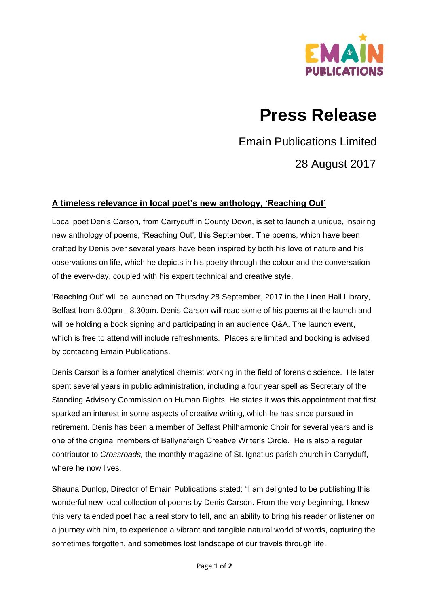

## **Press Release**

Emain Publications Limited

28 August 2017

## **A timeless relevance in local poet's new anthology, 'Reaching Out'**

Local poet Denis Carson, from Carryduff in County Down, is set to launch a unique, inspiring new anthology of poems, 'Reaching Out', this September. The poems, which have been crafted by Denis over several years have been inspired by both his love of nature and his observations on life, which he depicts in his poetry through the colour and the conversation of the every-day, coupled with his expert technical and creative style.

'Reaching Out' will be launched on Thursday 28 September, 2017 in the Linen Hall Library, Belfast from 6.00pm - 8.30pm. Denis Carson will read some of his poems at the launch and will be holding a book signing and participating in an audience Q&A. The launch event, which is free to attend will include refreshments. Places are limited and booking is advised by contacting Emain Publications.

Denis Carson is a former analytical chemist working in the field of forensic science. He later spent several years in public administration, including a four year spell as Secretary of the Standing Advisory Commission on Human Rights. He states it was this appointment that first sparked an interest in some aspects of creative writing, which he has since pursued in retirement. Denis has been a member of Belfast Philharmonic Choir for several years and is one of the original members of Ballynafeigh Creative Writer's Circle. He is also a regular contributor to *Crossroads,* the monthly magazine of St. Ignatius parish church in Carryduff, where he now lives

Shauna Dunlop, Director of Emain Publications stated: "I am delighted to be publishing this wonderful new local collection of poems by Denis Carson. From the very beginning, I knew this very talended poet had a real story to tell, and an ability to bring his reader or listener on a journey with him, to experience a vibrant and tangible natural world of words, capturing the sometimes forgotten, and sometimes lost landscape of our travels through life.